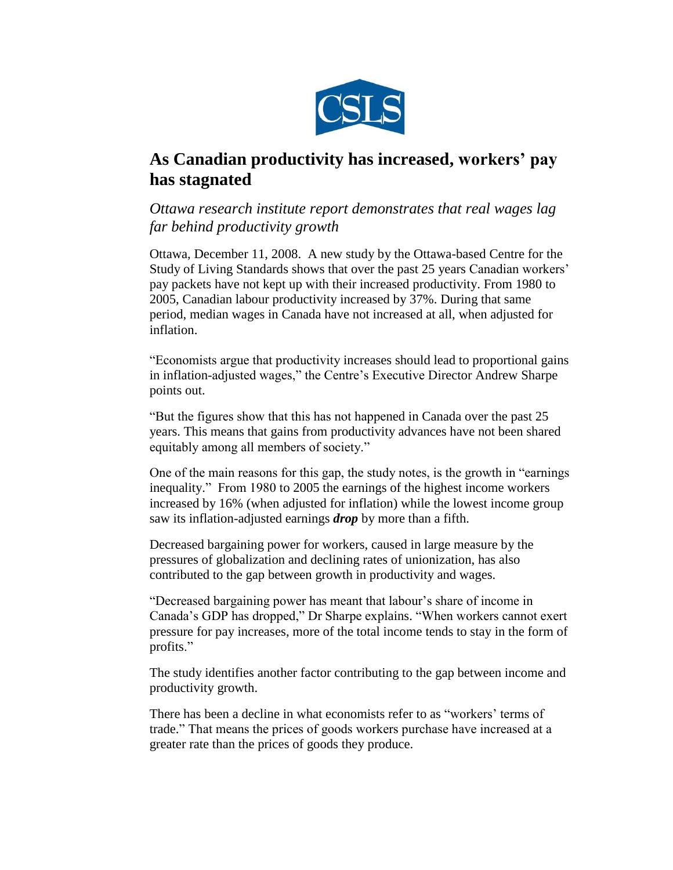

# **As Canadian productivity has increased, workers' pay has stagnated**

### *Ottawa research institute report demonstrates that real wages lag far behind productivity growth*

Ottawa, December 11, 2008. A new study by the Ottawa-based Centre for the Study of Living Standards shows that over the past 25 years Canadian workers' pay packets have not kept up with their increased productivity. From 1980 to 2005, Canadian labour productivity increased by 37%. During that same period, median wages in Canada have not increased at all, when adjusted for inflation.

"Economists argue that productivity increases should lead to proportional gains in inflation-adjusted wages," the Centre's Executive Director Andrew Sharpe points out.

"But the figures show that this has not happened in Canada over the past 25 years. This means that gains from productivity advances have not been shared equitably among all members of society."

One of the main reasons for this gap, the study notes, is the growth in "earnings inequality." From 1980 to 2005 the earnings of the highest income workers increased by 16% (when adjusted for inflation) while the lowest income group saw its inflation-adjusted earnings *drop* by more than a fifth.

Decreased bargaining power for workers, caused in large measure by the pressures of globalization and declining rates of unionization, has also contributed to the gap between growth in productivity and wages.

"Decreased bargaining power has meant that labour's share of income in Canada's GDP has dropped," Dr Sharpe explains. "When workers cannot exert pressure for pay increases, more of the total income tends to stay in the form of profits."

The study identifies another factor contributing to the gap between income and productivity growth.

There has been a decline in what economists refer to as "workers' terms of trade." That means the prices of goods workers purchase have increased at a greater rate than the prices of goods they produce.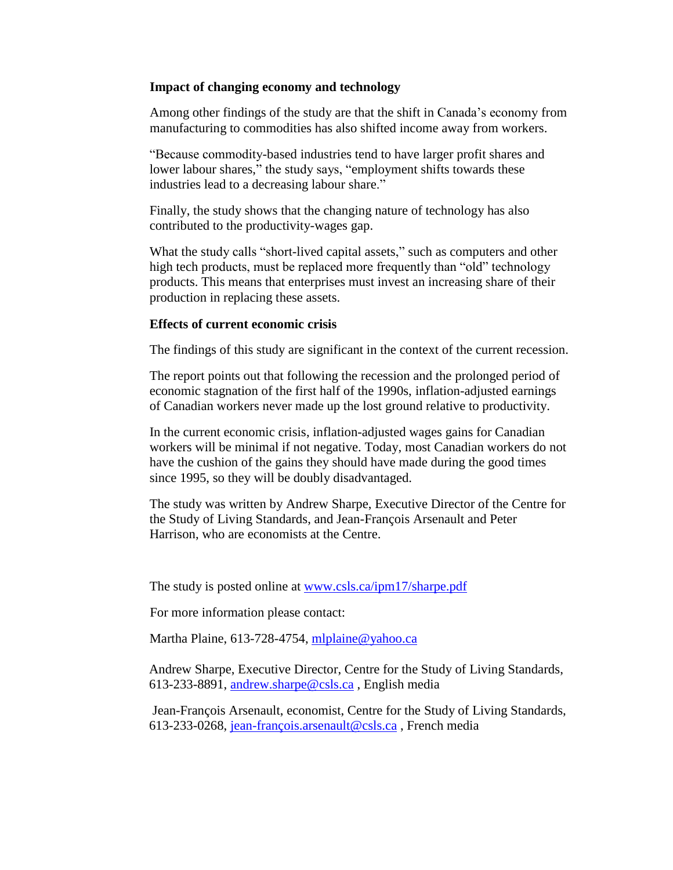#### **Impact of changing economy and technology**

Among other findings of the study are that the shift in Canada's economy from manufacturing to commodities has also shifted income away from workers.

"Because commodity-based industries tend to have larger profit shares and lower labour shares," the study says, "employment shifts towards these industries lead to a decreasing labour share."

Finally, the study shows that the changing nature of technology has also contributed to the productivity-wages gap.

What the study calls "short-lived capital assets," such as computers and other high tech products, must be replaced more frequently than "old" technology products. This means that enterprises must invest an increasing share of their production in replacing these assets.

#### **Effects of current economic crisis**

The findings of this study are significant in the context of the current recession.

The report points out that following the recession and the prolonged period of economic stagnation of the first half of the 1990s, inflation-adjusted earnings of Canadian workers never made up the lost ground relative to productivity.

In the current economic crisis, inflation-adjusted wages gains for Canadian workers will be minimal if not negative. Today, most Canadian workers do not have the cushion of the gains they should have made during the good times since 1995, so they will be doubly disadvantaged.

The study was written by Andrew Sharpe, Executive Director of the Centre for the Study of Living Standards, and Jean-François Arsenault and Peter Harrison, who are economists at the Centre.

The study is posted online at [www.csls.ca/ipm17/sharpe.pdf](http://www.csls.ca/ipm17/sharpe.pdf)

For more information please contact:

Martha Plaine, 613-728-4754, [mlplaine@yahoo.ca](mailto:mlplaine@yahoo.ca)

Andrew Sharpe, Executive Director, Centre for the Study of Living Standards, 613-233-8891, [andrew.sharpe@csls.ca](mailto:andrew.sharpe@csls.ca) , English media

Jean-François Arsenault, economist, Centre for the Study of Living Standards, 613-233-0268, [jean-françois.arsenault@csls.ca](mailto:jean-fran�ois.arsenault@csls.ca) , French media